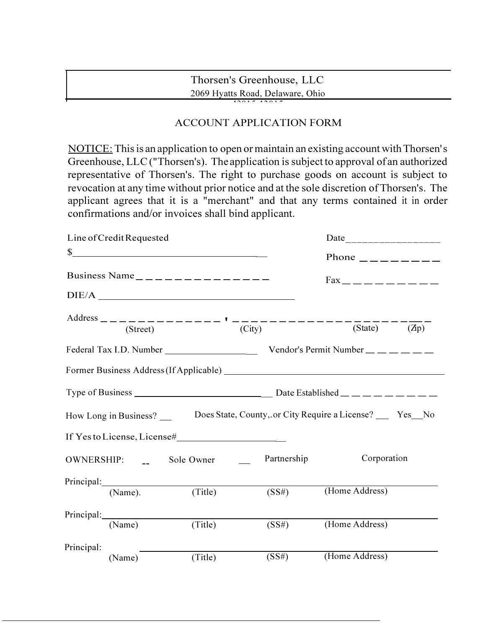## Thorsen's Greenhouse, LLC 2069 Hyatts Road, Delaware, Ohio

 $43015 43015$ 

## ACCOUNT APPLICATION FORM

NOTICE: This is an application to open or maintain an existing account with Thorsen' s Greenhouse, LLC ("Thorsen's). The application is subject to approval of an authorized representative of Thorsen's. The right to purchase goods on account is subject to revocation at any time without prior notice and at the sole discretion of Thorsen's. The applicant agrees that it is a "merchant" and that any terms contained it in order confirmations and/or invoices shall bind applicant.

| Line of Credit Requested                                                                                                                                                                                                                                                                                            |            |  |             | Date____________________                    |  |  |
|---------------------------------------------------------------------------------------------------------------------------------------------------------------------------------------------------------------------------------------------------------------------------------------------------------------------|------------|--|-------------|---------------------------------------------|--|--|
| $\frac{1}{2}$ $\frac{1}{2}$ $\frac{1}{2}$ $\frac{1}{2}$ $\frac{1}{2}$ $\frac{1}{2}$ $\frac{1}{2}$ $\frac{1}{2}$ $\frac{1}{2}$ $\frac{1}{2}$ $\frac{1}{2}$ $\frac{1}{2}$ $\frac{1}{2}$ $\frac{1}{2}$ $\frac{1}{2}$ $\frac{1}{2}$ $\frac{1}{2}$ $\frac{1}{2}$ $\frac{1}{2}$ $\frac{1}{2}$ $\frac{1}{2}$ $\frac{1}{2}$ |            |  |             | Phone $\_\_\_\_\_\_\_\_\_\_\_\_\_\_\_\_$    |  |  |
| Business Name _ _ _ _ _ _ _ _ _ _ _ _ _ _ _                                                                                                                                                                                                                                                                         |            |  |             | $Fax$ <sub>-------</sub> ---                |  |  |
|                                                                                                                                                                                                                                                                                                                     |            |  |             |                                             |  |  |
|                                                                                                                                                                                                                                                                                                                     |            |  |             |                                             |  |  |
| Federal Tax I.D. Number ___________________                                                                                                                                                                                                                                                                         |            |  |             | Vendor's Permit Number $\_\_$ $\_\_$ $\_\_$ |  |  |
|                                                                                                                                                                                                                                                                                                                     |            |  |             |                                             |  |  |
|                                                                                                                                                                                                                                                                                                                     |            |  |             |                                             |  |  |
| How Long in Business? ________ Does State, County, or City Require a License? _____ Yes__No                                                                                                                                                                                                                         |            |  |             |                                             |  |  |
| If Yes to License, License#                                                                                                                                                                                                                                                                                         |            |  |             |                                             |  |  |
| OWNERSHIP:                                                                                                                                                                                                                                                                                                          | Sole Owner |  | Partnership | Corporation                                 |  |  |
| (Name).                                                                                                                                                                                                                                                                                                             | (Title)    |  | (SS#)       | (Home Address)                              |  |  |
|                                                                                                                                                                                                                                                                                                                     |            |  |             |                                             |  |  |
| (Name)                                                                                                                                                                                                                                                                                                              | (Title)    |  | (SS#)       | (Home Address)                              |  |  |
| Principal:                                                                                                                                                                                                                                                                                                          |            |  |             |                                             |  |  |
| (Name)                                                                                                                                                                                                                                                                                                              | (Title)    |  | (SS#)       | (Home Address)                              |  |  |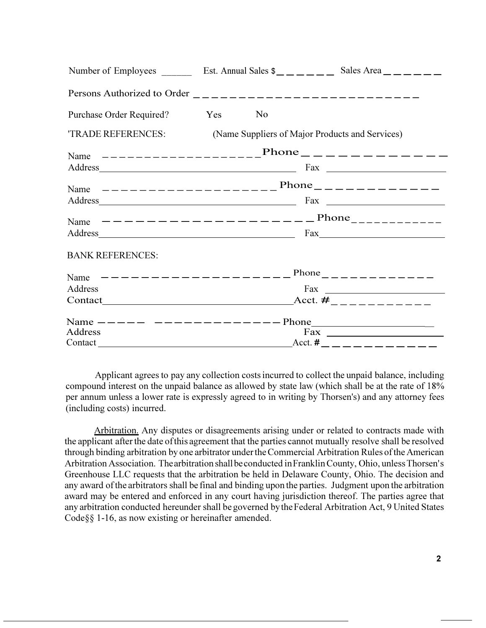|                                                                                                                                                                                                                                | Number of Employees ________ Est. Annual Sales $\frac{1}{2}$ __ _ _ _ _ Sales Area _ _ _ _ _ _                                                                                                                                 |  |  |  |
|--------------------------------------------------------------------------------------------------------------------------------------------------------------------------------------------------------------------------------|--------------------------------------------------------------------------------------------------------------------------------------------------------------------------------------------------------------------------------|--|--|--|
|                                                                                                                                                                                                                                |                                                                                                                                                                                                                                |  |  |  |
| Purchase Order Required?                                                                                                                                                                                                       | Yes<br>N <sub>0</sub>                                                                                                                                                                                                          |  |  |  |
|                                                                                                                                                                                                                                | TRADE REFERENCES: (Name Suppliers of Major Products and Services)                                                                                                                                                              |  |  |  |
|                                                                                                                                                                                                                                | Name $------------$ Phone $---------$                                                                                                                                                                                          |  |  |  |
|                                                                                                                                                                                                                                | Address Fax Fax Proposed and Payment Contract Payment Contract Payment Contract Payment Contract Payment Contract Payment Contract Payment Contract Payment Contract Payment Contract Payment Contract Payment Contract Paymen |  |  |  |
|                                                                                                                                                                                                                                | Name $------------------$ Phone $---------------$                                                                                                                                                                              |  |  |  |
|                                                                                                                                                                                                                                | $\frac{Fax}{2}$                                                                                                                                                                                                                |  |  |  |
| Name                                                                                                                                                                                                                           | $---------------------$ Phone                                                                                                                                                                                                  |  |  |  |
|                                                                                                                                                                                                                                | $\text{Fax}\_\_\_\_\_\_\_\_\$                                                                                                                                                                                                  |  |  |  |
| <b>BANK REFERENCES:</b>                                                                                                                                                                                                        |                                                                                                                                                                                                                                |  |  |  |
|                                                                                                                                                                                                                                | Name $---------------------$ Phone $---------------$                                                                                                                                                                           |  |  |  |
| Address                                                                                                                                                                                                                        | $\frac{1}{2}$ Fax                                                                                                                                                                                                              |  |  |  |
| Contact Contact Contact Contact Contact Contact Contact Contact Contact Contact Contact Contact Contact Contact Contact Contact Contact Contact Contact Contact Contact Contact Contact Contact Contact Contact Contact Contac |                                                                                                                                                                                                                                |  |  |  |
|                                                                                                                                                                                                                                | Name $--- - - - --- - --- - - -$ Phone                                                                                                                                                                                         |  |  |  |
| Address                                                                                                                                                                                                                        | $\frac{Fax}{ax}$                                                                                                                                                                                                               |  |  |  |
|                                                                                                                                                                                                                                | Acct. # _ _ _ _ _ _ _ _ _ _ _ _                                                                                                                                                                                                |  |  |  |

Applicant agrees to pay any collection costs incurred to collect the unpaid balance, including compound interest on the unpaid balance as allowed by state law (which shall be at the rate of 18% per annum unless a lower rate is expressly agreed to in writing by Thorsen's) and any attorney fees (including costs) incurred.

Arbitration. Any disputes or disagreements arising under or related to contracts made with the applicant after the date of this agreement that the parties cannot mutually resolve shall be resolved through binding arbitration by one arbitrator under the Commercial Arbitration Rules of the American Arbitration Association. The arbitration shall be conducted in Franklin County, Ohio, unless Thorsen' s Greenhouse LLC requests that the arbitration be held in Delaware County, Ohio. The decision and any award of the arbitrators shall be final and binding upon the parties. Judgment upon the arbitration award may be entered and enforced in any court having jurisdiction thereof. The parties agree that any arbitration conducted hereunder shall be governed by the Federal Arbitration Act, 9 United States Code§§ 1-16, as now existing or hereinafter amended.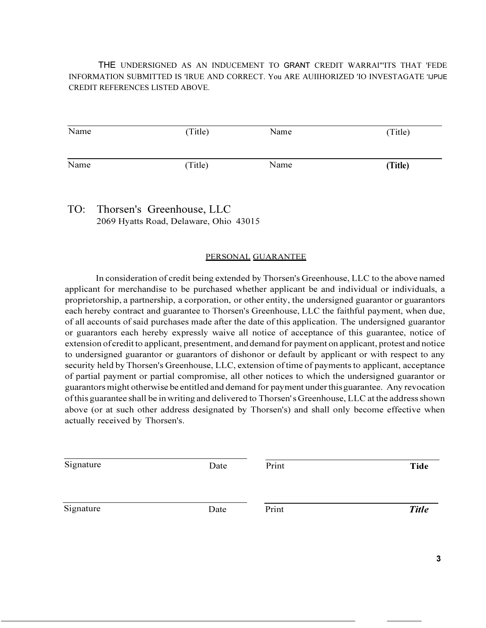THE UNDERSIGNED AS AN INDUCEMENT TO GRANT CREDIT WARRAl"'ITS THAT 'FEDE INFORMATION SUBMITTED IS 'IRUE AND CORRECT. You ARE AUIIHORIZED 'IO INVESTAGATE 'IJPlJE CREDIT REFERENCES LISTED ABOVE.

| Name | (Title) | Name | (Title) |
|------|---------|------|---------|
| Name | (Title) | Name | (Title) |

TO: Thorsen's Greenhouse, LLC 2069 Hyatts Road, Delaware, Ohio 43015

## PERSONAL GUARANTEE

In consideration of credit being extended by Thorsen's Greenhouse, LLC to the above named applicant for merchandise to be purchased whether applicant be and individual or individuals, a proprietorship, a partnership, a corporation, or other entity, the undersigned guarantor or guarantors each hereby contract and guarantee to Thorsen's Greenhouse, LLC the faithful payment, when due, of all accounts of said purchases made after the date of this application. The undersigned guarantor or guarantors each hereby expressly waive all notice of acceptance of this guarantee, notice of extension of credit to applicant, presentment, and demand for payment on applicant, protest and notice to undersigned guarantor or guarantors of dishonor or default by applicant or with respect to any security held by Thorsen's Greenhouse, LLC, extension of time of payments to applicant, acceptance of partial payment or partial compromise, all other notices to which the undersigned guarantor or guarantors might otherwise be entitled and demand for payment under this guarantee. Any revocation of this guarantee shall be in writing and delivered to Thorsen' s Greenhouse, LLC at the address shown above (or at such other address designated by Thorsen's) and shall only become effective when actually received by Thorsen's.

| Signature | Date | Print | <b>Tide</b>  |
|-----------|------|-------|--------------|
| Signature | Date | Print | <b>Title</b> |